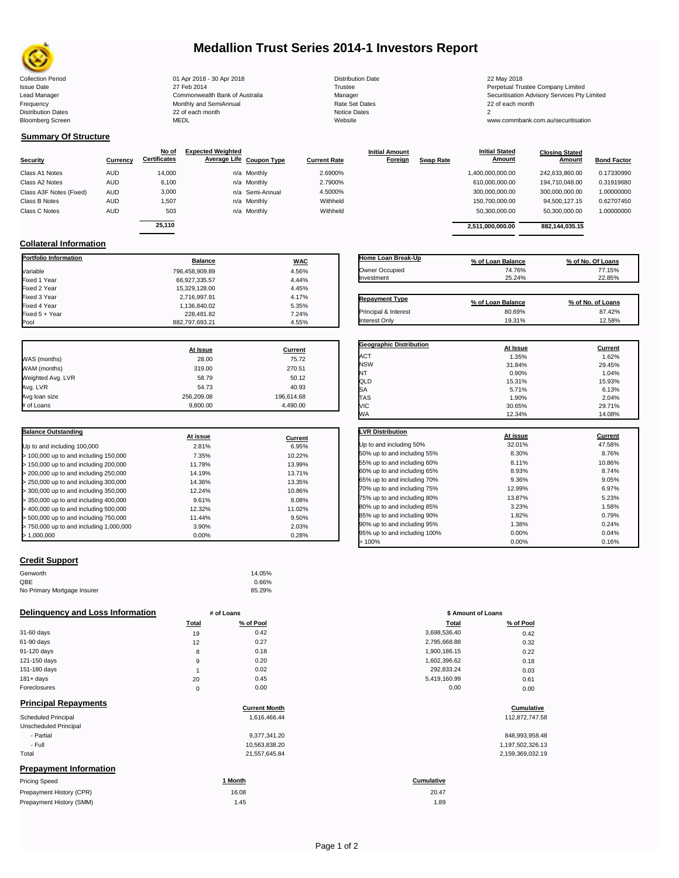

## **Medallion Trust Series 2014-1 Investors Report**

**Summary Of Structure**

**Collateral Information**

Collection Period 22 May 2018 - 30 Apr 2018 - 30 Apr 2018 - 20 Distribution Date 22 May 2018 - 22 May 2018 Issue Date 2014 27 Feb 2014 27 Feb 2014<br>Isaad Manager 2015 2017 Commonwealth Bank of Australia 2016 Manager 2016 2017 2017 Securitisation Advisory Services Pty Frequency Communication Communication Monthly and SemiAnnual Communication Communication Communication Communication Communication Communication Communication Communication Communication Communication Communication Communi n and the continuum of the continuum continuum continuum continuum continuum continuum continuum continuum contin<br>
22 of each month 2<br>
MEDL Website Website Bloomberg Screen MEDL Website www.commbank.com.au/securitisation

| <b>Distribution Date</b> |
|--------------------------|
| Trustee                  |
| Manager                  |
| Rate Set Dates           |
| <b>Notice Dates</b>      |
| Website                  |
|                          |

Lead Manager **Commonwealth Bank of Australia** Manager Manager Securitisation Advisory Services Pty Limited

|                         |            | No of               | <b>Expected Weighted</b> |                 |                     | <b>Initial Amount</b> |                  | <b>Initial Stated</b> | <b>Closing Stated</b> |                    |
|-------------------------|------------|---------------------|--------------------------|-----------------|---------------------|-----------------------|------------------|-----------------------|-----------------------|--------------------|
| <b>Security</b>         | Currency   | <b>Certificates</b> | Average Life Coupon Type |                 | <b>Current Rate</b> | Foreign               | <b>Swap Rate</b> | <b>Amount</b>         | Amount                | <b>Bond Factor</b> |
| Class A1 Notes          | <b>AUD</b> | 14.000              |                          | n/a Monthly     | 2.6900%             |                       |                  | 1,400,000,000.00      | 242.633.860.00        | 0.17330990         |
| Class A2 Notes          | <b>AUD</b> | 6,100               |                          | n/a Monthly     | 2.7900%             |                       |                  | 610,000,000.00        | 194.710.048.00        | 0.31919680         |
| Class A3F Notes (Fixed) | <b>AUD</b> | 3,000               |                          | n/a Semi-Annual | 4.5000%             |                       |                  | 300,000,000.00        | 300,000,000.00        | 1.00000000         |
| Class B Notes           | <b>AUD</b> | 1.507               |                          | n/a Monthly     | Withheld            |                       |                  | 150,700,000.00        | 94.500.127.15         | 0.62707450         |
| Class C Notes           | <b>AUD</b> | 503                 |                          | n/a Monthly     | Withheld            |                       |                  | 50,300,000.00         | 50,300,000.00         | 1.00000000         |
|                         |            | 25.110              |                          |                 |                     |                       |                  |                       |                       |                    |
|                         |            |                     |                          |                 |                     |                       |                  | 2.511.000.000.00      | 882.144.035.15        |                    |

**Portfolio Information Balance WAC** Variable 796,458,909.89 4.56% Fixed 1 Year 66,927,335.57 4.44% Fixed 2 Year 15,329,128.00 4.45% Fixed 3 Year 2,716,997.91 4.17% Fixed 4 Year 1,136,840.02 5.35%

| Home Loan Break-Up    |                   |                   |
|-----------------------|-------------------|-------------------|
|                       | % of Loan Balance | % of No. Of Loans |
| Owner Occupied        | 74.76%            | 77.15%            |
| Investment            | 25.24%            | 22.85%            |
|                       |                   |                   |
| <b>Repayment Type</b> | % of Loan Balance | % of No. of Loans |
| Principal & Interest  | 80.69%            | 87.42%            |

**Geographic Distribution**<br> **ACT ACT ACT ACT ACT ACT ACT ACT ACT ACT ACT ACT ACT ACT ACT ACT ACT ACT ACT ACT ACT ACT ACT ACT ACT ACT** ACT 1.35% 1.62% NSW 31.84% 29.45% NT 0.90% 1.04% QLD 15.31% 15.93%  $SA$  6.13% 6.13%

nterest Only 19.31% 12.58%

| Fixed 5 + Year    | 228,481.82     | 7.24%      |  |
|-------------------|----------------|------------|--|
| Pool              | 882.797.693.21 | 4.55%      |  |
|                   |                |            |  |
|                   | At Issue       | Current    |  |
| WAS (months)      | 28.00          | 75.72      |  |
| WAM (months)      | 319.00         | 270.51     |  |
| Weighted Avg. LVR | 58.79          | 50.12      |  |
| Avg. LVR          | 54.73          | 40.93      |  |
| Avg loan size     | 256.209.08     | 196.614.68 |  |

# of Loans 9,800.00 4,490.00

| <b>Balance Outstanding</b>              |          |         |
|-----------------------------------------|----------|---------|
|                                         | At issue | Current |
| Up to and including 100,000             | 2.81%    | 6.95%   |
| $>$ 100,000 up to and including 150,000 | 7.35%    | 10.22%  |
| $>$ 150,000 up to and including 200,000 | 11.78%   | 13.99%  |
| > 200,000 up to and including 250,000   | 14.19%   | 13.71%  |
| > 250,000 up to and including 300,000   | 14.36%   | 13.35%  |
| > 300,000 up to and including 350,000   | 12.24%   | 10.86%  |
| $>$ 350,000 up to and including 400,000 | 9.61%    | 8.08%   |
| $>$ 400,000 up to and including 500,000 | 12.32%   | 11.02%  |
| > 500,000 up to and including 750,000   | 11.44%   | 9.50%   |
| > 750,000 up to and including 1,000,000 | 3.90%    | 2.03%   |
| > 1.000.000                             | 0.00%    | 0.28%   |

## **Credit Support**

| Genworth                    | 14.05% |
|-----------------------------|--------|
| QBE                         | 0.66%  |
| No Primary Mortgage Insurer | 85.29% |

#### **Delinquency and Loss Information # of Loans**

|              | Total | % of Pool | <b>Total</b> | % of Pool |
|--------------|-------|-----------|--------------|-----------|
| 31-60 days   | 19    | 0.42      | 3,698,536.40 | 0.42      |
| 61-90 days   | 12    | 0.27      | 2,795,668.88 | 0.32      |
| 91-120 days  | 8     | 0.18      | 1,900,186.15 | 0.22      |
| 121-150 days | 9     | 0.20      | 1,602,396.62 | 0.18      |
| 151-180 days |       | 0.02      | 292,833.24   | 0.03      |
| $181 + days$ | 20    | 0.45      | 5,419,160.99 | 0.61      |
| Foreclosures | 0     | 0.00      | 0.00         | 0.00      |
|              |       |           |              |           |

## **Principal Repayments**

| Principal Repayments          | <b>Current Month</b> | Cumulative        |
|-------------------------------|----------------------|-------------------|
| <b>Scheduled Principal</b>    | 1.616.466.44         | 112,872,747.58    |
| Unscheduled Principal         |                      |                   |
| - Partial                     | 9.377.341.20         | 848,993,958.48    |
| - Full                        | 10,563,838.20        | 1,197,502,326.13  |
| Total                         | 21,557,645.84        | 2,159,369,032.19  |
| <b>Prepayment Information</b> |                      |                   |
| <b>Pricing Speed</b>          | 1 Month              | <b>Cumulative</b> |

| Prepayment History (CPR) | 16.08 | 20.47 |
|--------------------------|-------|-------|
| Prepayment History (SMM) | 1.45  | 1.89  |

| <b>TAS</b>                   | 1.90%    | 2.04%   |
|------------------------------|----------|---------|
| VIC                          | 30.65%   | 29.71%  |
| WА                           | 12.34%   | 14.08%  |
|                              |          |         |
| <b>LVR Distribution</b>      | At issue | Current |
| Up to and including 50%      | 32.01%   | 47.58%  |
| 50% up to and including 55%  | 8.30%    | 8.76%   |
| 55% up to and including 60%  | 8.11%    | 10.86%  |
| 60% up to and including 65%  | 8.93%    | 8.74%   |
| 65% up to and including 70%  | 9.36%    | 9.05%   |
| 70% up to and including 75%  | 12.99%   | 6.97%   |
| 75% up to and including 80%  | 13.87%   | 5.23%   |
| 80% up to and including 85%  | 3.23%    | 1.58%   |
| 85% up to and including 90%  | 1.82%    | 0.79%   |
| 90% up to and including 95%  | 1.38%    | 0.24%   |
| 95% up to and including 100% | 0.00%    | 0.04%   |
| 100%<br>ь                    | 0.00%    | 0.16%   |

|       | # of Loans | \$ Amount of Loans |           |
|-------|------------|--------------------|-----------|
| Total | % of Pool  | Total              | % of Pool |
| 19    | 0.42       | 3,698,536.40       | 0.42      |
| 12    | 0.27       | 2,795,668.88       | 0.32      |
| 8     | 0.18       | 1,900,186.15       | 0.22      |
| 9     | 0.20       | 1,602,396.62       | 0.18      |
| 1     | 0.02       | 292,833.24         | 0.03      |
| 20    | 0.45       | 5,419,160.99       | 0.61      |
| 0     | 0.00       | 0.00               | 0.00      |

# **Cumulative Cumulative**

| 848.993.958.48   |
|------------------|
| 1,197,502,326.13 |
| 2,159,369,032.19 |

20.47